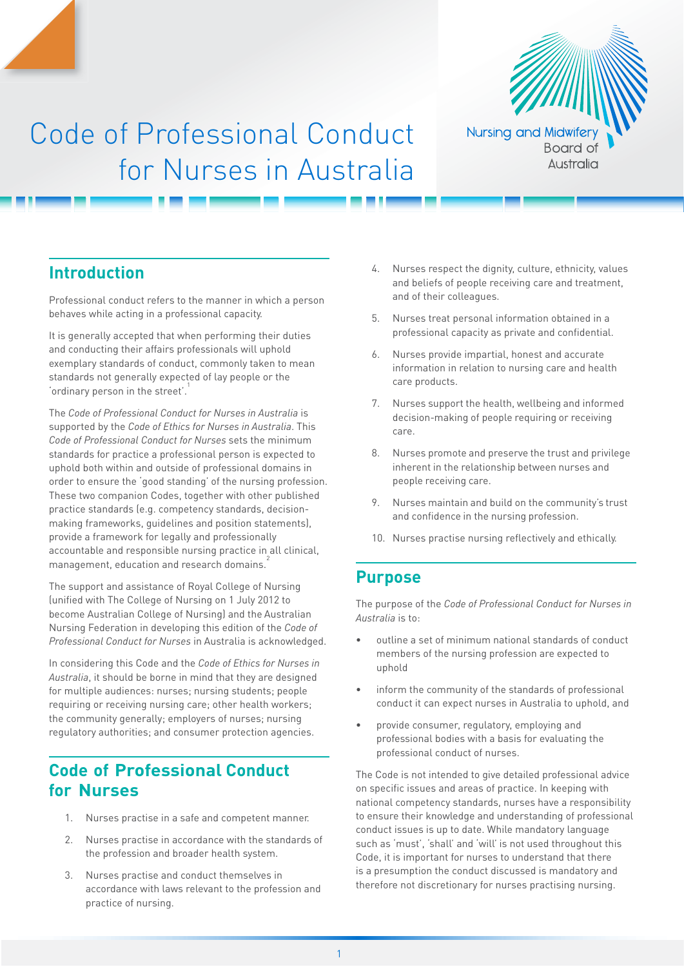

# Code of Professional Conduct for Nurses in Australia

# **Introduction**

Professional conduct refers to the manner in which a person behaves while acting in a professional capacity.

It is generally accepted that when performing their duties and conducting their affairs professionals will uphold exemplary standards of conduct, commonly taken to mean standards not generally expected of lay people or the 'ordinary person in the street'.<sup>1</sup>

The *Code of Professional Conduct for Nurses in Australia* is supported by the *Code of Ethics for Nurses in Australia*. This *Code of Professional Conduct for Nurses* sets the minimum standards for practice a professional person is expected to uphold both within and outside of professional domains in order to ensure the 'good standing' of the nursing profession. These two companion Codes, together with other published practice standards (e.g. competency standards, decisionmaking frameworks, guidelines and position statements), provide a framework for legally and professionally accountable and responsible nursing practice in all clinical, management, education and research domains.<sup>2</sup>

The support and assistance of Royal College of Nursing (unified with The College of Nursing on 1 July 2012 to become Australian College of Nursing) and the Australian Nursing Federation in developing this edition of the *Code of Professional Conduct for Nurses* in Australia is acknowledged.

In considering this Code and the *Code of Ethics for Nurses in Australia*, it should be borne in mind that they are designed for multiple audiences: nurses; nursing students; people requiring or receiving nursing care; other health workers; the community generally; employers of nurses; nursing regulatory authorities; and consumer protection agencies.

# **Code of Professional Conduct for Nurses**

- 1. Nurses practise in a safe and competent manner.
- 2. Nurses practise in accordance with the standards of the profession and broader health system.
- 3. Nurses practise and conduct themselves in accordance with laws relevant to the profession and practice of nursing.
- 4. Nurses respect the dignity, culture, ethnicity, values and beliefs of people receiving care and treatment, and of their colleagues.
- 5. Nurses treat personal information obtained in a professional capacity as private and confidential.
- 6. Nurses provide impartial, honest and accurate information in relation to nursing care and health care products.
- 7. Nurses support the health, wellbeing and informed decision-making of people requiring or receiving care.
- 8. Nurses promote and preserve the trust and privilege inherent in the relationship between nurses and people receiving care.
- 9. Nurses maintain and build on the community's trust and confidence in the nursing profession.
- 10. Nurses practise nursing reflectively and ethically.

# **Purpose**

The purpose of the *Code of Professional Conduct for Nurses in Australia* is to:

- outline a set of minimum national standards of conduct members of the nursing profession are expected to uphold
- inform the community of the standards of professional conduct it can expect nurses in Australia to uphold, and
- provide consumer, regulatory, employing and professional bodies with a basis for evaluating the professional conduct of nurses.

The Code is not intended to give detailed professional advice on specific issues and areas of practice. In keeping with national competency standards, nurses have a responsibility to ensure their knowledge and understanding of professional conduct issues is up to date. While mandatory language such as 'must', 'shall' and 'will' is not used throughout this Code, it is important for nurses to understand that there is a presumption the conduct discussed is mandatory and therefore not discretionary for nurses practising nursing.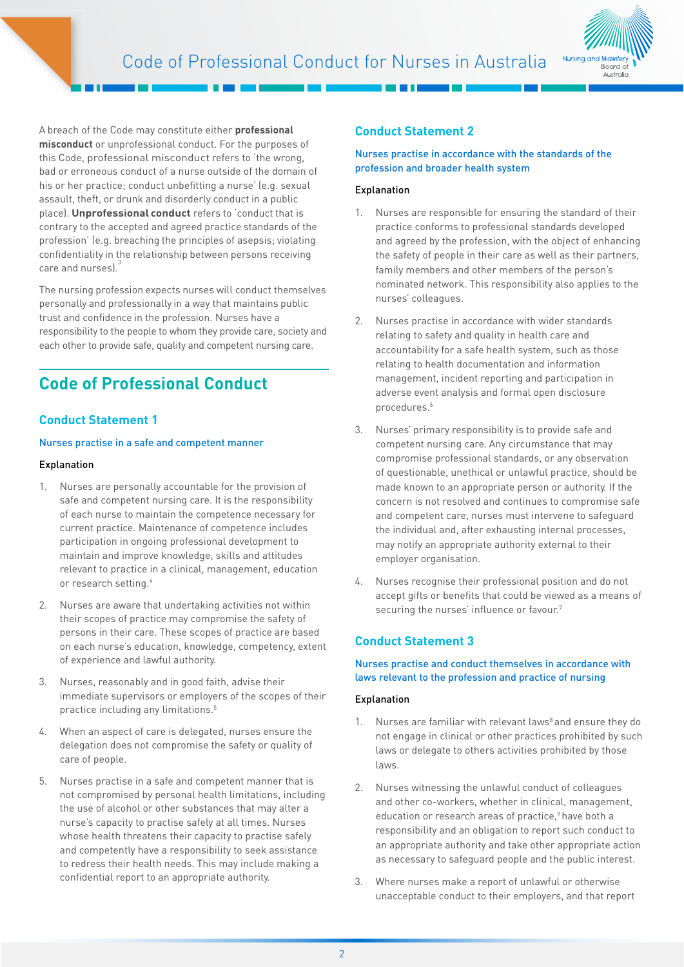

A breach of the Code may constitute either **professional misconduct** or unprofessional conduct. For the purposes of this Code, professional misconduct refers to 'the wrong, bad or erroneous conduct of a nurse outside of the domain of his or her practice; conduct unbefitting a nurse' (e.g. sexual assault, theft, or drunk and disorderly conduct in a public place). **Unprofessional conduct** refers to 'conduct that is contrary to the accepted and agreed practice standards of the profession' (e.g. breaching the principles of asepsis; violating confidentiality in the relationship between persons receiving care and nurses).

The nursing profession expects nurses will conduct themselves personally and professionally in a way that maintains public trust and confidence in the profession. Nurses have a responsibility to the people to whom they provide care, society and each other to provide safe, quality and competent nursing care.

# **Code of Professional Conduct**

# **Conduct Statement 1**

#### Nurses practise in a safe and competent manner

#### Explanation

- 1. Nurses are personally accountable for the provision of safe and competent nursing care. It is the responsibility of each nurse to maintain the competence necessary for current practice. Maintenance of competence includes participation in ongoing professional development to maintain and improve knowledge, skills and attitudes relevant to practice in a clinical, management, education or research setting.4
- 2. Nurses are aware that undertaking activities not within their scopes of practice may compromise the safety of persons in their care. These scopes of practice are based on each nurse's education, knowledge, competency, extent of experience and lawful authority.
- 3. Nurses, reasonably and in good faith, advise their immediate supervisors or employers of the scopes of their practice including any limitations.5
- 4. When an aspect of care is delegated, nurses ensure the delegation does not compromise the safety or quality of care of people.
- 5. Nurses practise in a safe and competent manner that is not compromised by personal health limitations, including the use of alcohol or other substances that may alter a nurse's capacity to practise safely at all times. Nurses whose health threatens their capacity to practise safely and competently have a responsibility to seek assistance to redress their health needs. This may include making a confidential report to an appropriate authority.

# **Conduct Statement 2**

## Nurses practise in accordance with the standards of the profession and broader health system

## Explanation

- 1. Nurses are responsible for ensuring the standard of their practice conforms to professional standards developed and agreed by the profession, with the object of enhancing the safety of people in their care as well as their partners, family members and other members of the person's nominated network. This responsibility also applies to the nurses' colleagues.
- 2. Nurses practise in accordance with wider standards relating to safety and quality in health care and accountability for a safe health system, such as those relating to health documentation and information management, incident reporting and participation in adverse event analysis and formal open disclosure procedures.<sup>6</sup>
- 3. Nurses' primary responsibility is to provide safe and competent nursing care. Any circumstance that may compromise professional standards, or any observation of questionable, unethical or unlawful practice, should be made known to an appropriate person or authority. If the concern is not resolved and continues to compromise safe and competent care, nurses must intervene to safeguard the individual and, after exhausting internal processes, may notify an appropriate authority external to their employer organisation.
- 4. Nurses recognise their professional position and do not accept gifts or benefits that could be viewed as a means of securing the nurses' influence or favour.<sup>7</sup>

# **Conduct Statement 3**

# Nurses practise and conduct themselves in accordance with laws relevant to the profession and practice of nursing

- 1. Nurses are familiar with relevant laws<sup>8</sup> and ensure they do not engage in clinical or other practices prohibited by such laws or delegate to others activities prohibited by those laws.
- 2. Nurses witnessing the unlawful conduct of colleagues and other co-workers, whether in clinical, management, education or research areas of practice,<sup>9</sup> have both a responsibility and an obligation to report such conduct to an appropriate authority and take other appropriate action as necessary to safeguard people and the public interest.
- 3. Where nurses make a report of unlawful or otherwise unacceptable conduct to their employers, and that report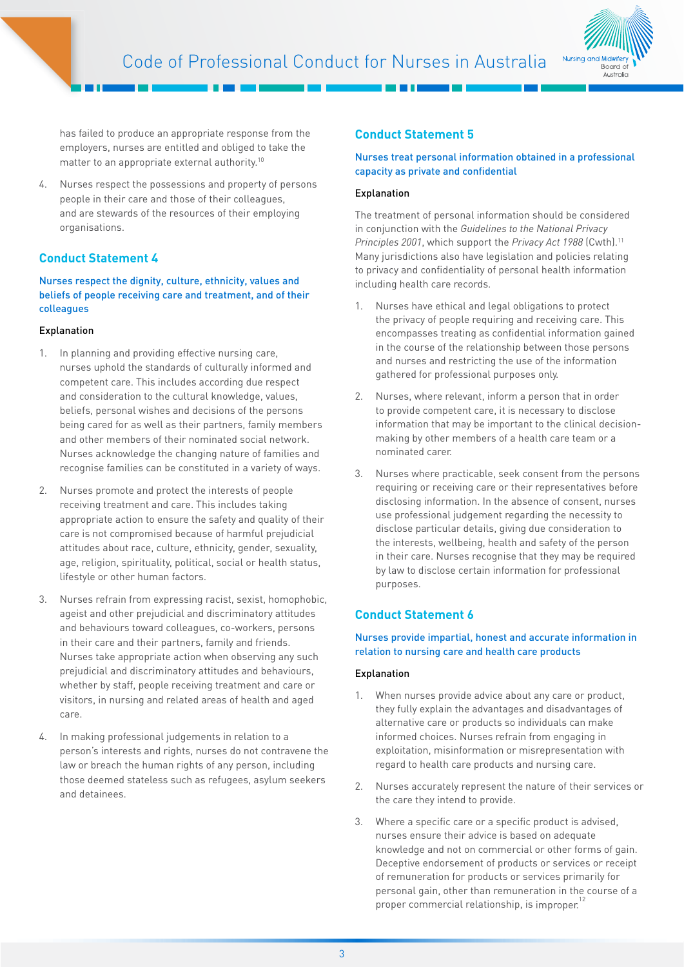

has failed to produce an appropriate response from the employers, nurses are entitled and obliged to take the matter to an appropriate external authority.10

4. Nurses respect the possessions and property of persons people in their care and those of their colleagues, and are stewards of the resources of their employing organisations.

# **Conduct Statement 4**

Nurses respect the dignity, culture, ethnicity, values and beliefs of people receiving care and treatment, and of their colleagues

## Explanation

- 1. In planning and providing effective nursing care, nurses uphold the standards of culturally informed and competent care. This includes according due respect and consideration to the cultural knowledge, values, beliefs, personal wishes and decisions of the persons being cared for as well as their partners, family members and other members of their nominated social network. Nurses acknowledge the changing nature of families and recognise families can be constituted in a variety of ways.
- 2. Nurses promote and protect the interests of people receiving treatment and care. This includes taking appropriate action to ensure the safety and quality of their care is not compromised because of harmful prejudicial attitudes about race, culture, ethnicity, gender, sexuality, age, religion, spirituality, political, social or health status, lifestyle or other human factors.
- 3. Nurses refrain from expressing racist, sexist, homophobic, ageist and other prejudicial and discriminatory attitudes and behaviours toward colleagues, co-workers, persons in their care and their partners, family and friends. Nurses take appropriate action when observing any such prejudicial and discriminatory attitudes and behaviours, whether by staff, people receiving treatment and care or visitors, in nursing and related areas of health and aged care.
- 4. In making professional judgements in relation to a person's interests and rights, nurses do not contravene the law or breach the human rights of any person, including those deemed stateless such as refugees, asylum seekers and detainees.

# **Conduct Statement 5**

# Nurses treat personal information obtained in a professional capacity as private and confidential

## Explanation

The treatment of personal information should be considered in conjunction with the *Guidelines to the National Privacy Principles 2001*, which support the *Privacy Act 1988* (Cwth).11 Many jurisdictions also have legislation and policies relating to privacy and confidentiality of personal health information including health care records.

- 1. Nurses have ethical and legal obligations to protect the privacy of people requiring and receiving care. This encompasses treating as confidential information gained in the course of the relationship between those persons and nurses and restricting the use of the information gathered for professional purposes only.
- 2. Nurses, where relevant, inform a person that in order to provide competent care, it is necessary to disclose information that may be important to the clinical decisionmaking by other members of a health care team or a nominated carer.
- 3. Nurses where practicable, seek consent from the persons requiring or receiving care or their representatives before disclosing information. In the absence of consent, nurses use professional judgement regarding the necessity to disclose particular details, giving due consideration to the interests, wellbeing, health and safety of the person in their care. Nurses recognise that they may be required by law to disclose certain information for professional purposes.

# **Conduct Statement 6**

## Nurses provide impartial, honest and accurate information in relation to nursing care and health care products

- 1. When nurses provide advice about any care or product, they fully explain the advantages and disadvantages of alternative care or products so individuals can make informed choices. Nurses refrain from engaging in exploitation, misinformation or misrepresentation with regard to health care products and nursing care.
- 2. Nurses accurately represent the nature of their services or the care they intend to provide.
- 3. Where a specific care or a specific product is advised, nurses ensure their advice is based on adequate knowledge and not on commercial or other forms of gain. Deceptive endorsement of products or services or receipt of remuneration for products or services primarily for personal gain, other than remuneration in the course of a proper commercial relationship, is improper.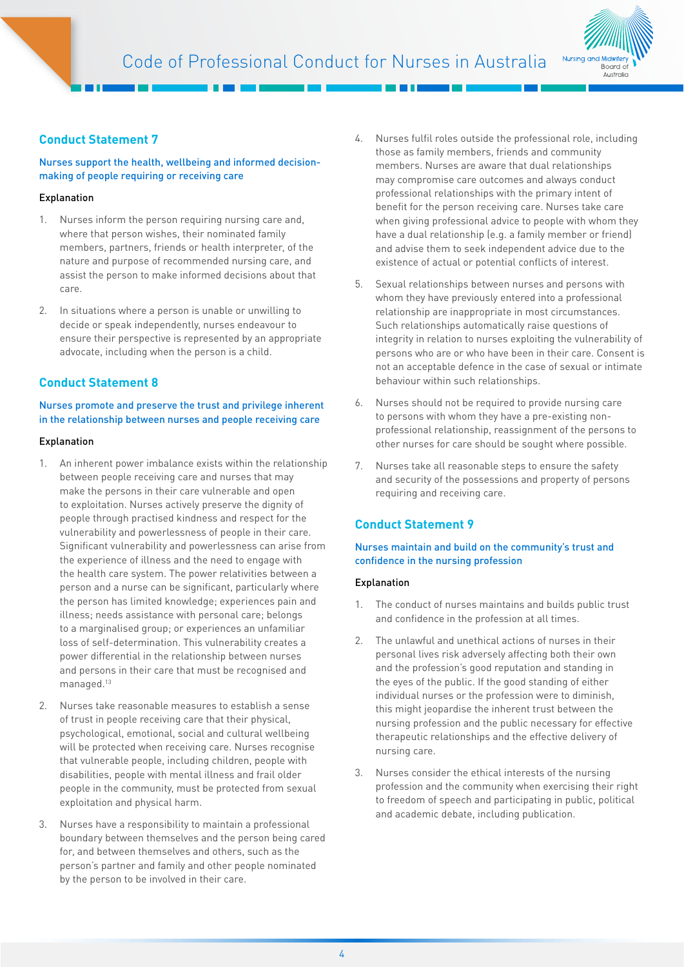

# **Conduct Statement 7**

# Nurses support the health, wellbeing and informed decisionmaking of people requiring or receiving care

## Explanation

- 1. Nurses inform the person requiring nursing care and, where that person wishes, their nominated family members, partners, friends or health interpreter, of the nature and purpose of recommended nursing care, and assist the person to make informed decisions about that care.
- 2. In situations where a person is unable or unwilling to decide or speak independently, nurses endeavour to ensure their perspective is represented by an appropriate advocate, including when the person is a child.

# **Conduct Statement 8**

# Nurses promote and preserve the trust and privilege inherent in the relationship between nurses and people receiving care

#### Explanation

- 1. An inherent power imbalance exists within the relationship between people receiving care and nurses that may make the persons in their care vulnerable and open to exploitation. Nurses actively preserve the dignity of people through practised kindness and respect for the vulnerability and powerlessness of people in their care. Significant vulnerability and powerlessness can arise from the experience of illness and the need to engage with the health care system. The power relativities between a person and a nurse can be significant, particularly where the person has limited knowledge; experiences pain and illness; needs assistance with personal care; belongs to a marginalised group; or experiences an unfamiliar loss of self-determination. This vulnerability creates a power differential in the relationship between nurses and persons in their care that must be recognised and managed.<sup>13</sup>
- 2. Nurses take reasonable measures to establish a sense of trust in people receiving care that their physical, psychological, emotional, social and cultural wellbeing will be protected when receiving care. Nurses recognise that vulnerable people, including children, people with disabilities, people with mental illness and frail older people in the community, must be protected from sexual exploitation and physical harm.
- 3. Nurses have a responsibility to maintain a professional boundary between themselves and the person being cared for, and between themselves and others, such as the person's partner and family and other people nominated by the person to be involved in their care.
- 4. Nurses fulfil roles outside the professional role, including those as family members, friends and community members. Nurses are aware that dual relationships may compromise care outcomes and always conduct professional relationships with the primary intent of benefit for the person receiving care. Nurses take care when giving professional advice to people with whom they have a dual relationship (e.g. a family member or friend) and advise them to seek independent advice due to the existence of actual or potential conflicts of interest.
- 5. Sexual relationships between nurses and persons with whom they have previously entered into a professional relationship are inappropriate in most circumstances. Such relationships automatically raise questions of integrity in relation to nurses exploiting the vulnerability of persons who are or who have been in their care. Consent is not an acceptable defence in the case of sexual or intimate behaviour within such relationships.
- 6. Nurses should not be required to provide nursing care to persons with whom they have a pre-existing nonprofessional relationship, reassignment of the persons to other nurses for care should be sought where possible.
- 7. Nurses take all reasonable steps to ensure the safety and security of the possessions and property of persons requiring and receiving care.

# **Conduct Statement 9**

## Nurses maintain and build on the community's trust and confidence in the nursing profession

- 1. The conduct of nurses maintains and builds public trust and confidence in the profession at all times.
- 2. The unlawful and unethical actions of nurses in their personal lives risk adversely affecting both their own and the profession's good reputation and standing in the eyes of the public. If the good standing of either individual nurses or the profession were to diminish, this might jeopardise the inherent trust between the nursing profession and the public necessary for effective therapeutic relationships and the effective delivery of nursing care.
- 3. Nurses consider the ethical interests of the nursing profession and the community when exercising their right to freedom of speech and participating in public, political and academic debate, including publication.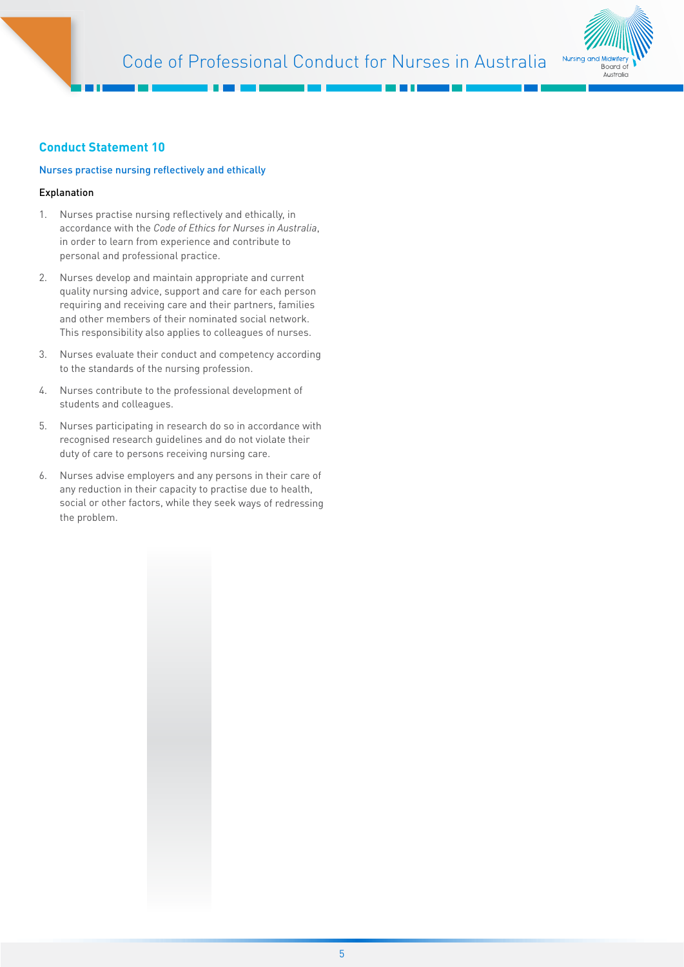

# **Conduct Statement 10**

## Nurses practise nursing reflectively and ethically

- 1. Nurses practise nursing reflectively and ethically, in accordance with the *Code of Ethics for Nurses in Australia*, in order to learn from experience and contribute to personal and professional practice.
- 2. Nurses develop and maintain appropriate and current quality nursing advice, support and care for each person requiring and receiving care and their partners, families and other members of their nominated social network. This responsibility also applies to colleagues of nurses.
- 3. Nurses evaluate their conduct and competency according to the standards of the nursing profession.
- 4. Nurses contribute to the professional development of students and colleagues.
- 5. Nurses participating in research do so in accordance with recognised research guidelines and do not violate their duty of care to persons receiving nursing care.
- 6. Nurses advise employers and any persons in their care of any reduction in their capacity to practise due to health, social or other factors, while they seek ways of redressing the problem.

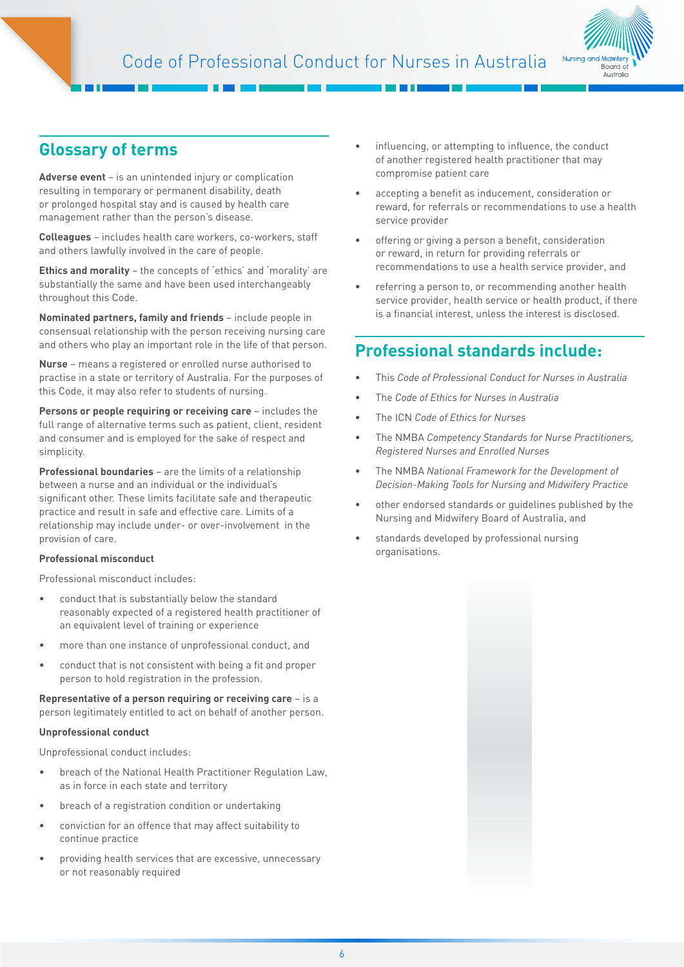

# **Glossary of terms**

**Adverse event** – is an unintended injury or complication resulting in temporary or permanent disability, death or prolonged hospital stay and is caused by health care management rather than the person's disease.

**Colleagues** – includes health care workers, co-workers, staff and others lawfully involved in the care of people.

**Ethics and morality** – the concepts of 'ethics' and 'morality' are substantially the same and have been used interchangeably throughout this Code.

**Nominated partners, family and friends** – include people in consensual relationship with the person receiving nursing care and others who play an important role in the life of that person.

**Nurse** – means a registered or enrolled nurse authorised to practise in a state or territory of Australia. For the purposes of this Code, it may also refer to students of nursing.

**Persons or people requiring or receiving care** – includes the full range of alternative terms such as patient, client, resident and consumer and is employed for the sake of respect and simplicity.

**Professional boundaries** – are the limits of a relationship between a nurse and an individual or the individual's significant other. These limits facilitate safe and therapeutic practice and result in safe and effective care. Limits of a relationship may include under- or over-involvement in the provision of care.

#### **Professional misconduct**

Professional misconduct includes:

- conduct that is substantially below the standard reasonably expected of a registered health practitioner of an equivalent level of training or experience
- more than one instance of unprofessional conduct, and
- conduct that is not consistent with being a fit and proper person to hold registration in the profession.

**Representative of a person requiring or receiving care** – is a person legitimately entitled to act on behalf of another person.

#### **Unprofessional conduct**

Unprofessional conduct includes:

- breach of the National Health Practitioner Regulation Law, as in force in each state and territory
- breach of a registration condition or undertaking
- conviction for an offence that may affect suitability to continue practice
- providing health services that are excessive, unnecessary or not reasonably required
- influencing, or attempting to influence, the conduct of another registered health practitioner that may compromise patient care
- accepting a benefit as inducement, consideration or reward, for referrals or recommendations to use a health service provider
- offering or giving a person a benefit, consideration or reward, in return for providing referrals or recommendations to use a health service provider, and
- referring a person to, or recommending another health service provider, health service or health product, if there is a financial interest, unless the interest is disclosed.

# **Professional standards include:**

- This *Code of Professional Conduct for Nurses in Australia*
- The *Code of Ethics for Nurses in Australia*
- The ICN *Code of Ethics for Nurses*
- The NMBA *Competency Standards for Nurse Practitioners, Registered Nurses and Enrolled Nurses*
- The NMBA *National Framework for the Development of Decision-Making Tools for Nursing and Midwifery Practice*
- other endorsed standards or guidelines published by the Nursing and Midwifery Board of Australia, and
- standards developed by professional nursing organisations.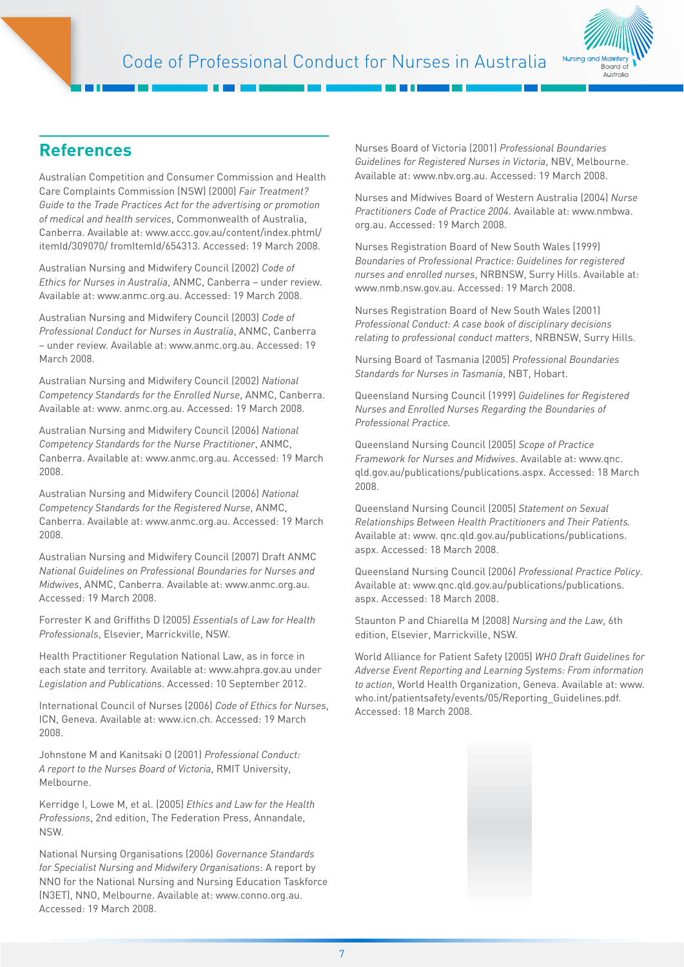

# **References**

Australian Competition and Consumer Commission and Health Care Complaints Commission (NSW) (2000) *Fair Treatment? Guide to the Trade Practices Act for the advertising or promotion of medical and health services*, Commonwealth of Australia, Canberra. Available at: [www.accc.gov.au/content/index.phtml/](http://www.accc.gov.au/content/index.phtml/itemId/309070/ ) [itemId/309070/](http://www.accc.gov.au/content/index.phtml/itemId/309070/ ) fromItemId/654313. Accessed: 19 March 2008.

Australian Nursing and Midwifery Council (2002) *Code of Ethics for Nurses in Australia*, ANMC, Canberra – under review. Available at: [www.anmc.org.au. A](http://www.anmc.org.au/ )ccessed: 19 March 2008.

Australian Nursing and Midwifery Council (2003) *Code of Professional Conduct for Nurses in Australia*, ANMC, Canberra – under review. Available at: [www.anmc.org.au.](http://www.anmc.org.au/ ) Accessed: 19 March 2008.

Australian Nursing and Midwifery Council (2002) *National Competency Standards for the Enrolled Nurse*, ANMC, Canberra. Available at: [www.](http://www/ ) anmc.org.au. Accessed: 19 March 2008.

Australian Nursing and Midwifery Council (2006) *National Competency Standards for the Nurse Practitioner*, ANMC, Canberra. Available at: [www.anmc.org.au. A](http://www.anmc.org.au/ )ccessed: 19 March 2008.

Australian Nursing and Midwifery Council (2006) *National Competency Standards for the Registered Nurse*, ANMC, Canberra. Available at: [www.anmc.org.au. A](http://www.anmc.org.au/ )ccessed: 19 March 2008.

Australian Nursing and Midwifery Council (2007) Draft ANMC *National Guidelines on Professional Boundaries for Nurses and Midwives*, ANMC, Canberra. Available at: [www.anmc.org.au.](http://www.anmc.org.au/ )  Accessed: 19 March 2008.

Forrester K and Griffiths D (2005) *Essentials of Law for Health Professionals*, Elsevier, Marrickville, NSW.

Health Practitioner Regulation National Law, as in force in each state and territory. Available at: www.ahpra.gov.au under *Legislation and Publications*. Accessed: 10 September 2012.

International Council of Nurses (2006) *Code of Ethics for Nurses*, ICN, Geneva. Available at: [www.icn.ch. A](http://www.icn.ch/ )ccessed: 19 March 2008.

Johnstone M and Kanitsaki O (2001) *Professional Conduct: A report to the Nurses Board of Victoria*, RMIT University, Melbourne.

Kerridge I, Lowe M, et al. (2005) *Ethics and Law for the Health Professions*, 2nd edition, The Federation Press, Annandale, NSW.

National Nursing Organisations (2006) *Governance Standards for Specialist Nursing and Midwifery Organisations*: A report by NNO for the National Nursing and Nursing Education Taskforce (N3ET), NNO, Melbourne. Available at: [www.conno.org.au.](http://www.conno.org.au/ )  Accessed: 19 March 2008.

Nurses Board of Victoria (2001) *Professional Boundaries Guidelines for Registered Nurses in Victoria*, NBV, Melbourne. Available at: www.nbv.org.au. Accessed: 19 March 2008.

Nurses and Midwives Board of Western Australia (2004) *Nurse Practitioners Code of Practice 2004*. Available at: [www.nmbwa.](http://www.nmbwa.org.au/ ) [org.au.](http://www.nmbwa.org.au/ ) Accessed: 19 March 2008.

Nurses Registration Board of New South Wales (1999) *Boundaries of Professional Practice: Guidelines for registered nurses and enrolled nurses*, NRBNSW, Surry Hills. Available at: [www.nmb.nsw.gov.au. A](http://www.nmb.nsw.gov.au/ )ccessed: 19 March 2008.

Nurses Registration Board of New South Wales (2001) *Professional Conduct: A case book of disciplinary decisions relating to professional conduct matters*, NRBNSW, Surry Hills.

Nursing Board of Tasmania (2005) *Professional Boundaries Standards for Nurses in Tasmania*, NBT, Hobart.

Queensland Nursing Council (1999) *Guidelines for Registered Nurses and Enrolled Nurses Regarding the Boundaries of Professional Practice.*

Queensland Nursing Council (2005) *Scope of Practice Framework for Nurses and Midwives*. Available at: [www.q](http://www/ )nc. qld.gov.au/publications/publications.aspx. Accessed: 18 March 2008.

Queensland Nursing Council (2005) *Statement on Sexual Relationships Between Health Practitioners and Their Patients.*  Available at: [www.](http://www/ ) qnc.qld.gov.au/publications/publications. aspx. Accessed: 18 March 2008.

Queensland Nursing Council (2006) *Professional Practice Policy*. Available at: [www.qnc.qld.gov.au/publications/p](http://www.qnc.qld.gov.au/publications/ )ublications. aspx. Accessed: 18 March 2008.

Staunton P and Chiarella M (2008) *Nursing and the Law*, 6th edition, Elsevier, Marrickville, NSW.

World Alliance for Patient Safety (2005) *WHO Draft Guidelines for Adverse Event Reporting and Learning Systems: From information to action*, World Health Organization, Geneva. Available at: [www.](http://www.who.int/ ) [who.int/](http://www.who.int/ )patientsafety/events/05/Reporting\_Guidelines.pdf. Accessed: 18 March 2008.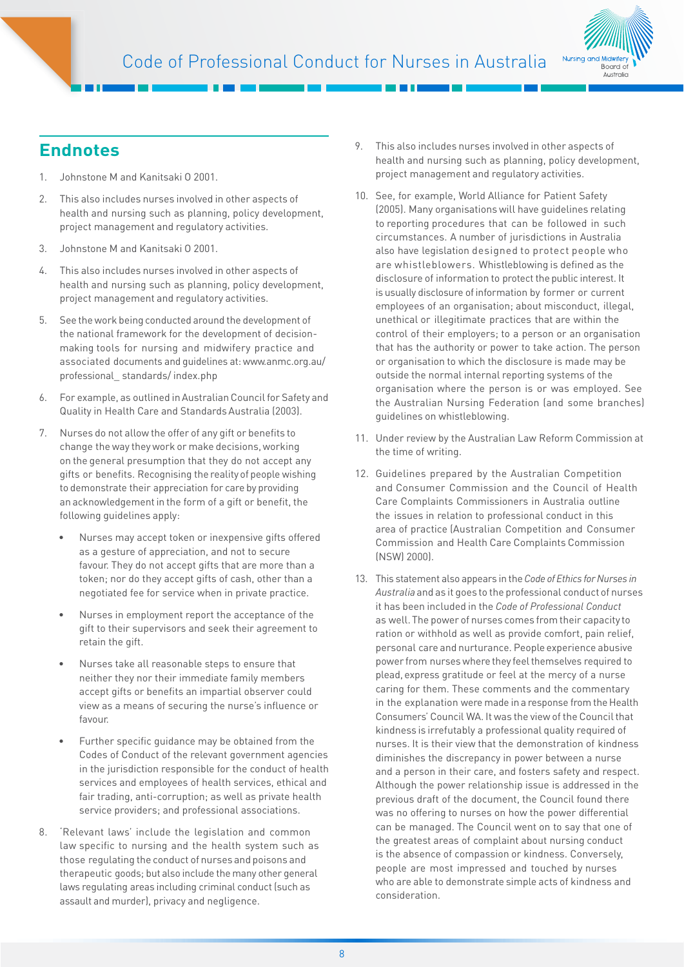

# **Endnotes**

- 1. Johnstone M and Kanitsaki O 2001.
- 2. This also includes nurses involved in other aspects of health and nursing such as planning, policy development, project management and regulatory activities.
- 3. Johnstone M and Kanitsaki O 2001.
- 4. This also includes nurses involved in other aspects of health and nursing such as planning, policy development, project management and regulatory activities.
- 5. See the work being conducted around the development of the national framework for the development of decisionmaking tools for nursing and midwifery practice and associated documents and guidelines at: [www.anmc.org.au/](http://www.anmc.org.au/professional_ ) [professional\\_](http://www.anmc.org.au/professional_ ) standards/ index.php
- 6. For example, as outlined in Australian Council for Safety and Quality in Health Care and Standards Australia (2003).
- 7. Nurses do not allow the offer of any gift or benefits to change the way they work or make decisions, working on the general presumption that they do not accept any gifts or benefits. Recognising the reality of people wishing to demonstrate their appreciation for care by providing an acknowledgement in the form of a gift or benefit, the following guidelines apply:
	- Nurses may accept token or inexpensive gifts offered as a gesture of appreciation, and not to secure favour. They do not accept gifts that are more than a token; nor do they accept gifts of cash, other than a negotiated fee for service when in private practice.
	- Nurses in employment report the acceptance of the gift to their supervisors and seek their agreement to retain the gift.
	- Nurses take all reasonable steps to ensure that neither they nor their immediate family members accept gifts or benefits an impartial observer could view as a means of securing the nurse's influence or favour.
	- Further specific quidance may be obtained from the Codes of Conduct of the relevant government agencies in the jurisdiction responsible for the conduct of health services and employees of health services, ethical and fair trading, anti-corruption; as well as private health service providers; and professional associations.
- 8. 'Relevant laws' include the legislation and common law specific to nursing and the health system such as those regulating the conduct of nurses and poisons and therapeutic goods; but also include the many other general laws regulating areas including criminal conduct (such as assault and murder), privacy and negligence.
- 9. This also includes nurses involved in other aspects of health and nursing such as planning, policy development, project management and regulatory activities.
- 10. See, for example, World Alliance for Patient Safety (2005). Many organisations will have guidelines relating to reporting procedures that can be followed in such circumstances. A number of jurisdictions in Australia also have legislation designed to protect people who are whistleblowers. Whistleblowing is defined as the disclosure of information to protect the public interest. It is usually disclosure of information by former or current employees of an organisation; about misconduct, illegal, unethical or illegitimate practices that are within the control of their employers; to a person or an organisation that has the authority or power to take action. The person or organisation to which the disclosure is made may be outside the normal internal reporting systems of the organisation where the person is or was employed. See the Australian Nursing Federation (and some branches) guidelines on whistleblowing.
- 11. Under review by the Australian Law Reform Commission at the time of writing.
- 12. Guidelines prepared by the Australian Competition and Consumer Commission and the Council of Health Care Complaints Commissioners in Australia outline the issues in relation to professional conduct in this area of practice (Australian Competition and Consumer Commission and Health Care Complaints Commission (NSW) 2000).
- 13. This statement also appears in the *Code of Ethics for Nurses in Australia* and as it goes to the professional conduct of nurses it has been included in the *Code of Professional Conduct* as well. The power of nurses comes from their capacity to ration or withhold as well as provide comfort, pain relief, personal care and nurturance. People experience abusive power from nurses where they feel themselves required to plead, express gratitude or feel at the mercy of a nurse caring for them. These comments and the commentary in the explanation were made in a response from the Health Consumers' Council WA. It was the view of the Council that kindness is irrefutably a professional quality required of nurses. It is their view that the demonstration of kindness diminishes the discrepancy in power between a nurse and a person in their care, and fosters safety and respect. Although the power relationship issue is addressed in the previous draft of the document, the Council found there was no offering to nurses on how the power differential can be managed. The Council went on to say that one of the greatest areas of complaint about nursing conduct is the absence of compassion or kindness. Conversely, people are most impressed and touched by nurses who are able to demonstrate simple acts of kindness and consideration.